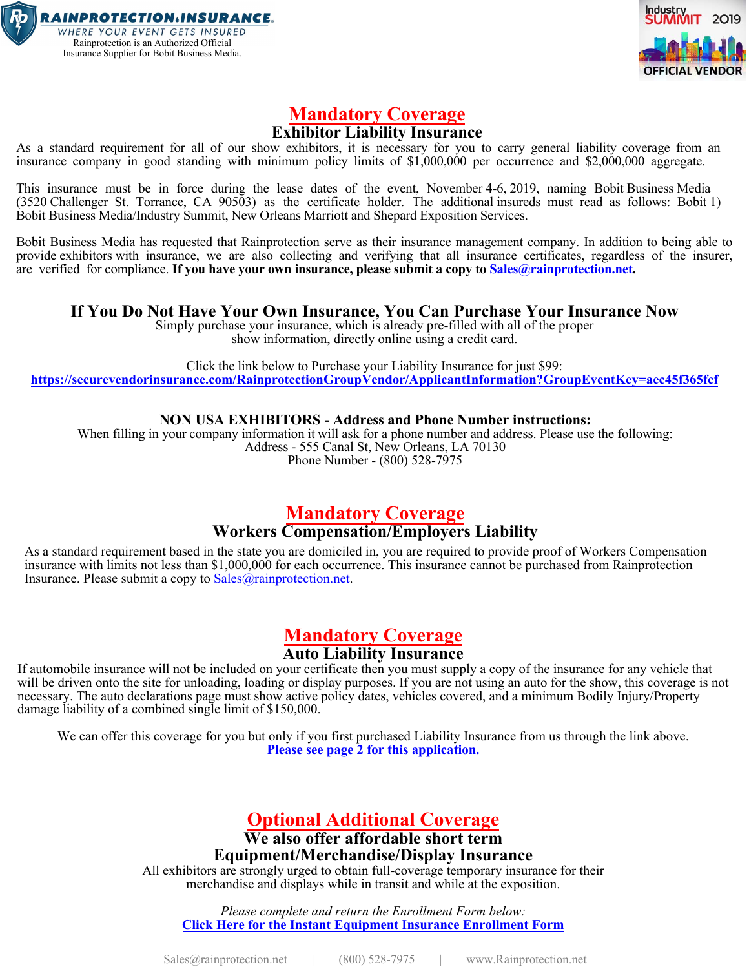



## **Mandatory Coverage Exhibitor Liability Insurance**

As a standard requirement for all of our show exhibitors, it is necessary for you to carry general liability coverage from an insurance company in good standing with minimum policy limits of \$1,000,000 per occurrence and \$2,000,000 aggregate.

This insurance must be in force during the lease dates of the event, November 4-6, 2019, naming Bobit Business Media (3520 Challenger St. Torrance, CA 90503) as the certificate holder. The additional insureds must read as follows: Bobit 1) Bobit Business Media/Industry Summit, New Orleans Marriott and Shepard Exposition Services.

Bobit Business Media has requested that Rainprotection serve as their insurance management company. In addition to being able to provide exhibitors with insurance, we are also collecting and verifying that all insurance certificates, regardless of the insurer, are verified for compliance. If you have your own insurance, please submit a copy to Sales@rainprotection.net.

### **If You Do Not Have Your Own Insurance, You Can Purchase Your Insurance Now**

Simply purchase your insurance, which is already pre-filled with all of the proper show information, directly online using a credit card.

Click the link below to Purchase your Liability Insurance for just \$99: **<https://securevendorinsurance.com/RainprotectionGroupVendor/ApplicantInformation?GroupEventKey=aec45f365fcf>**

#### **NON USA EXHIBITORS - Address and Phone Number instructions:**

When filling in your company information it will ask for a phone number and address. Please use the following: Address - 555 Canal St, New Orleans, LA 70130 Phone Number - (800) 528-7975

## **Mandatory Coverage Workers Compensation/Employers Liability**

As a standard requirement based in the state you are domiciled in, you are required to provide proof of Workers Compensation insurance with limits not less than \$1,000,000 for each occurrence. This insurance cannot be purchased from Rainprotection Insurance. Please submit a copy to Sales@rainprotection.net.

## **Mandatory Coverage Auto Liability Insurance**

If automobile insurance will not be included on your certificate then you must supply a copy of the insurance for any vehicle that will be driven onto the site for unloading, loading or display purposes. If you are not using an auto for the show, this coverage is not necessary. The auto declarations page must show active policy dates, vehicles covered, and a minimum Bodily Injury/Property damage liability of a combined single limit of \$150,000.

We can offer this coverage for you but only if you first purchased Liability Insurance from us through the link above. **Please see page 2 for this application.**

# **Optional Additional Coverage**

**We also offer affordable short term**

## **Equipment/Merchandise/Display Insurance**

All exhibitors are strongly urged to obtain full-coverage temporary insurance for their merchandise and displays while in transit and while at the exposition.

*Please complete and return the Enrollment Form below:* **[Click Here for the Instant Equipment Insurance Enrollment Form](http://rainprotection.net/download/i/mark_dl/u/208574/15532628/Rainprotection%20-%20Equipment%20Insurance%20Enrollment%20Form%20-%20Short%20Term%20(23).pdf)**